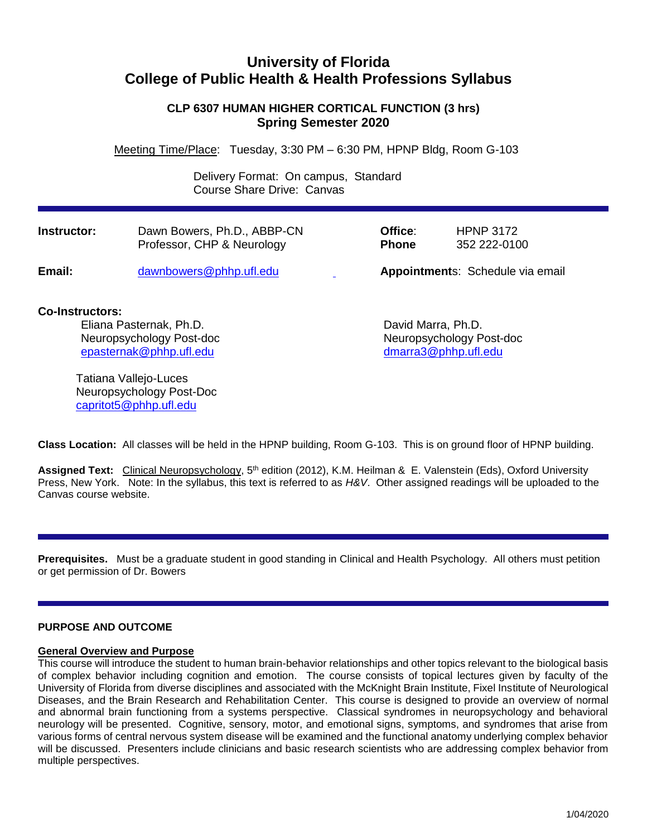# **University of Florida College of Public Health & Health Professions Syllabus**

# **CLP 6307 HUMAN HIGHER CORTICAL FUNCTION (3 hrs) Spring Semester 2020**

Meeting Time/Place: Tuesday, 3:30 PM – 6:30 PM, HPNP Bldg, Room G-103

 Delivery Format: On campus, Standard Course Share Drive: Canvas

| Instructor: | Dawn Bowers, Ph.D., ABBP-CN | Office:      | <b>HPNP 3172</b>                 |
|-------------|-----------------------------|--------------|----------------------------------|
|             | Professor, CHP & Neurology  | <b>Phone</b> | 352 222-0100                     |
| Email:      | dawnbowers@phhp.ufl.edu     |              | Appointments: Schedule via email |

# **Co-Instructors:**

Eliana Pasternak, Ph.D. **David Marra, Ph.D.** David Marra, Ph.D. Neuropsychology Post-doc Neuropsychology Post-doc [epasternak@phhp.ufl.edu](mailto:epasternak@phhp.ufl.edu) [dmarra3@phhp.ufl.edu](mailto:dmarra3@phhp.ufl.edu)

Tatiana Vallejo-Luces Neuropsychology Post-Doc [capritot5@phhp.ufl.edu](mailto:capritot5@phhp.ufl.edu)

**Class Location:** All classes will be held in the HPNP building, Room G-103. This is on ground floor of HPNP building.

**Assigned Text:** Clinical Neuropsychology, 5th edition (2012), K.M. Heilman & E. Valenstein (Eds), Oxford University Press, New York. Note: In the syllabus, this text is referred to as *H&V*. Other assigned readings will be uploaded to the Canvas course website.

**Prerequisites.** Must be a graduate student in good standing in Clinical and Health Psychology. All others must petition or get permission of Dr. Bowers

## **PURPOSE AND OUTCOME**

### **General Overview and Purpose**

This course will introduce the student to human brain-behavior relationships and other topics relevant to the biological basis of complex behavior including cognition and emotion. The course consists of topical lectures given by faculty of the University of Florida from diverse disciplines and associated with the McKnight Brain Institute, Fixel Institute of Neurological Diseases, and the Brain Research and Rehabilitation Center. This course is designed to provide an overview of normal and abnormal brain functioning from a systems perspective. Classical syndromes in neuropsychology and behavioral neurology will be presented. Cognitive, sensory, motor, and emotional signs, symptoms, and syndromes that arise from various forms of central nervous system disease will be examined and the functional anatomy underlying complex behavior will be discussed. Presenters include clinicians and basic research scientists who are addressing complex behavior from multiple perspectives.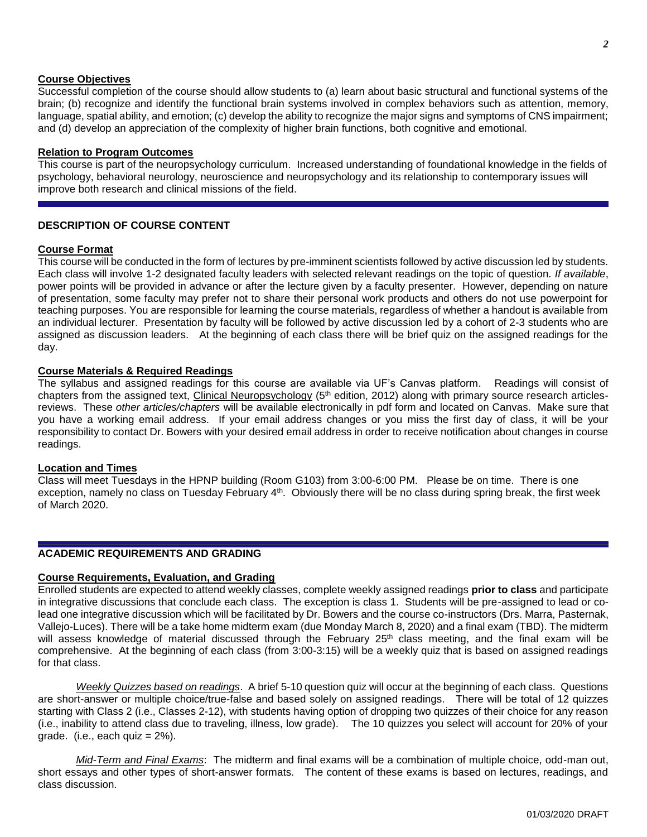#### **Course Objectives**

Successful completion of the course should allow students to (a) learn about basic structural and functional systems of the brain; (b) recognize and identify the functional brain systems involved in complex behaviors such as attention, memory, language, spatial ability, and emotion; (c) develop the ability to recognize the major signs and symptoms of CNS impairment; and (d) develop an appreciation of the complexity of higher brain functions, both cognitive and emotional.

#### **Relation to Program Outcomes**

This course is part of the neuropsychology curriculum. Increased understanding of foundational knowledge in the fields of psychology, behavioral neurology, neuroscience and neuropsychology and its relationship to contemporary issues will improve both research and clinical missions of the field.

#### **DESCRIPTION OF COURSE CONTENT**

#### **Course Format**

This course will be conducted in the form of lectures by pre-imminent scientists followed by active discussion led by students. Each class will involve 1-2 designated faculty leaders with selected relevant readings on the topic of question. *If available*, power points will be provided in advance or after the lecture given by a faculty presenter. However, depending on nature of presentation, some faculty may prefer not to share their personal work products and others do not use powerpoint for teaching purposes. You are responsible for learning the course materials, regardless of whether a handout is available from an individual lecturer. Presentation by faculty will be followed by active discussion led by a cohort of 2-3 students who are assigned as discussion leaders. At the beginning of each class there will be brief quiz on the assigned readings for the day.

#### **Course Materials & Required Readings**

The syllabus and assigned readings for this course are available via UF's Canvas platform. Readings will consist of chapters from the assigned text, Clinical Neuropsychology (5<sup>th</sup> edition, 2012) along with primary source research articlesreviews. These *other articles/chapters* will be available electronically in pdf form and located on Canvas. Make sure that you have a working email address. If your email address changes or you miss the first day of class, it will be your responsibility to contact Dr. Bowers with your desired email address in order to receive notification about changes in course readings.

#### **Location and Times**

Class will meet Tuesdays in the HPNP building (Room G103) from 3:00-6:00 PM. Please be on time. There is one exception, namely no class on Tuesday February 4<sup>th</sup>. Obviously there will be no class during spring break, the first week of March 2020.

#### **ACADEMIC REQUIREMENTS AND GRADING**

#### **Course Requirements, Evaluation, and Grading**

Enrolled students are expected to attend weekly classes, complete weekly assigned readings **prior to class** and participate in integrative discussions that conclude each class. The exception is class 1. Students will be pre-assigned to lead or colead one integrative discussion which will be facilitated by Dr. Bowers and the course co-instructors (Drs. Marra, Pasternak, Vallejo-Luces). There will be a take home midterm exam (due Monday March 8, 2020) and a final exam (TBD). The midterm will assess knowledge of material discussed through the February 25<sup>th</sup> class meeting, and the final exam will be comprehensive. At the beginning of each class (from 3:00-3:15) will be a weekly quiz that is based on assigned readings for that class.

*Weekly Quizzes based on readings*. A brief 5-10 question quiz will occur at the beginning of each class. Questions are short-answer or multiple choice/true-false and based solely on assigned readings. There will be total of 12 quizzes starting with Class 2 (i.e., Classes 2-12), with students having option of dropping two quizzes of their choice for any reason (i.e., inability to attend class due to traveling, illness, low grade). The 10 quizzes you select will account for 20% of your grade. (i.e., each quiz  $= 2\%$ ).

*Mid-Term and Final Exams*: The midterm and final exams will be a combination of multiple choice, odd-man out, short essays and other types of short-answer formats. The content of these exams is based on lectures, readings, and class discussion.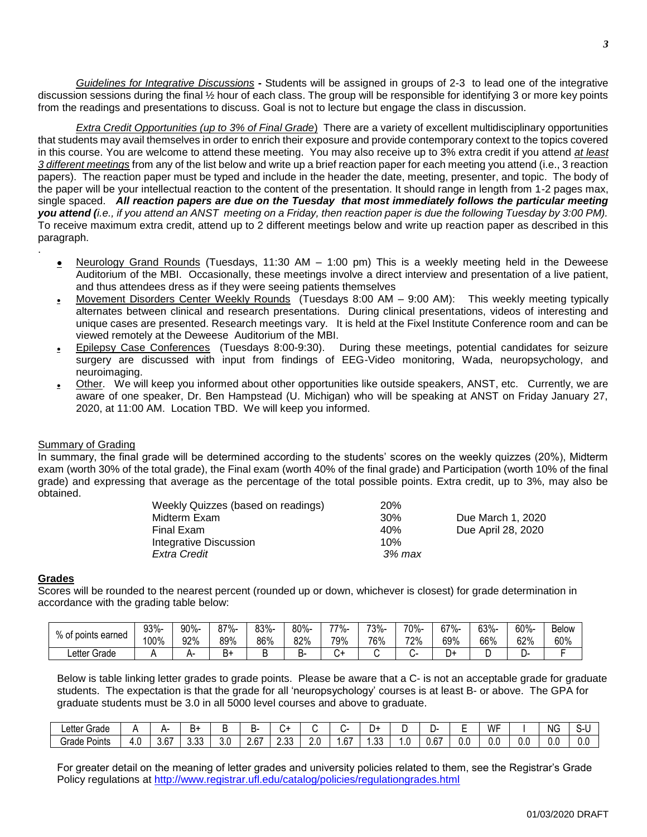*Guidelines for Integrative Discussions* **-** Students will be assigned in groups of 2-3 to lead one of the integrative discussion sessions during the final ½ hour of each class. The group will be responsible for identifying 3 or more key points from the readings and presentations to discuss. Goal is not to lecture but engage the class in discussion.

*Extra Credit Opportunities (up to 3% of Final Grade*) There are a variety of excellent multidisciplinary opportunities that students may avail themselves in order to enrich their exposure and provide contemporary context to the topics covered in this course. You are welcome to attend these meeting. You may also receive up to 3% extra credit if you attend *at least 3 different meetings* from any of the list below and write up a brief reaction paper for each meeting you attend (i.e., 3 reaction papers). The reaction paper must be typed and include in the header the date, meeting, presenter, and topic. The body of the paper will be your intellectual reaction to the content of the presentation. It should range in length from 1-2 pages max, single spaced. *All reaction papers are due on the Tuesday that most immediately follows the particular meeting you attend (i.e., if you attend an ANST meeting on a Friday, then reaction paper is due the following Tuesday by 3:00 PM).* To receive maximum extra credit, attend up to 2 different meetings below and write up reaction paper as described in this paragraph.

- **Neurology Grand Rounds** (Tuesdays, 11:30 AM 1:00 pm) This is a weekly meeting held in the Deweese Auditorium of the MBI. Occasionally, these meetings involve a direct interview and presentation of a live patient, and thus attendees dress as if they were seeing patients themselves
- Movement Disorders Center Weekly Rounds (Tuesdays 8:00 AM 9:00 AM): This weekly meeting typically alternates between clinical and research presentations. During clinical presentations, videos of interesting and unique cases are presented. Research meetings vary. It is held at the Fixel Institute Conference room and can be viewed remotely at the Deweese Auditorium of the MBI.
- **Epilepsy Case Conferences** (Tuesdays 8:00-9:30). During these meetings, potential candidates for seizure surgery are discussed with input from findings of EEG-Video monitoring, Wada, neuropsychology, and neuroimaging.
- **other.** We will keep you informed about other opportunities like outside speakers, ANST, etc. Currently, we are aware of one speaker, Dr. Ben Hampstead (U. Michigan) who will be speaking at ANST on Friday January 27, 2020, at 11:00 AM. Location TBD. We will keep you informed.

# Summary of Grading

In summary, the final grade will be determined according to the students' scores on the weekly quizzes (20%), Midterm exam (worth 30% of the total grade), the Final exam (worth 40% of the final grade) and Participation (worth 10% of the final grade) and expressing that average as the percentage of the total possible points. Extra credit, up to 3%, may also be obtained.

| Weekly Quizzes (based on readings) | 20 <sup>%</sup> |                    |
|------------------------------------|-----------------|--------------------|
| Midterm Exam                       | 30%             | Due March 1, 2020  |
| Final Exam                         | 40%             | Due April 28, 2020 |
| Integrative Discussion             | 10%             |                    |
| Extra Credit                       | 3% max          |                    |

# **Grades**

.

Scores will be rounded to the nearest percent (rounded up or down, whichever is closest) for grade determination in accordance with the grading table below:

| % of<br>' points earned | 93%- | 90%- | -7%-<br>ōΙ     | 83%- | 80%- | -77% | 73%- | 70%- | 67%- | $3\%$ - | 60%- | Below |
|-------------------------|------|------|----------------|------|------|------|------|------|------|---------|------|-------|
|                         | 100% | 92%  | 89%            | 86%  | 82%  | 79%  | 76%  | 72%  | 69%  | 66%     | 62%  | 60%   |
| Letter Grade            |      |      | <u>.</u><br>ים |      | ╮.   |      |      |      | D.   |         |      |       |

Below is table linking letter grades to grade points. Please be aware that a C- is not an acceptable grade for graduate students. The expectation is that the grade for all 'neuropsychology' courses is at least B- or above. The GPA for graduate students must be 3.0 in all 5000 level courses and above to graduate.

| ∟etter<br>$\sim$<br>Grade |     |       | --            | . . | ∼.                        |                |                    |             | .         |             |                         | -   | WF<br><b>.</b> |     | <b>NG</b> | ∼.  |
|---------------------------|-----|-------|---------------|-----|---------------------------|----------------|--------------------|-------------|-----------|-------------|-------------------------|-----|----------------|-----|-----------|-----|
| ərade<br>Points           | 4.0 | .67 ن | $\sim$<br>ט.י | J.U | $\sim$<br>h<br><u>. v</u> | $\sim$<br>ں ں. | -<br>ÈΙ.<br>$\sim$ | $\sim$<br>b | ົາ<br>ں ل | . .<br>. .0 | $\cdots$ $\sim$<br>0.67 | 0.C | $\sim$<br>O.C  | J.V | 0.C       | 0.C |

For greater detail on the meaning of letter grades and university policies related to them, see the Registrar's Grade Policy regulations at<http://www.registrar.ufl.edu/catalog/policies/regulationgrades.html>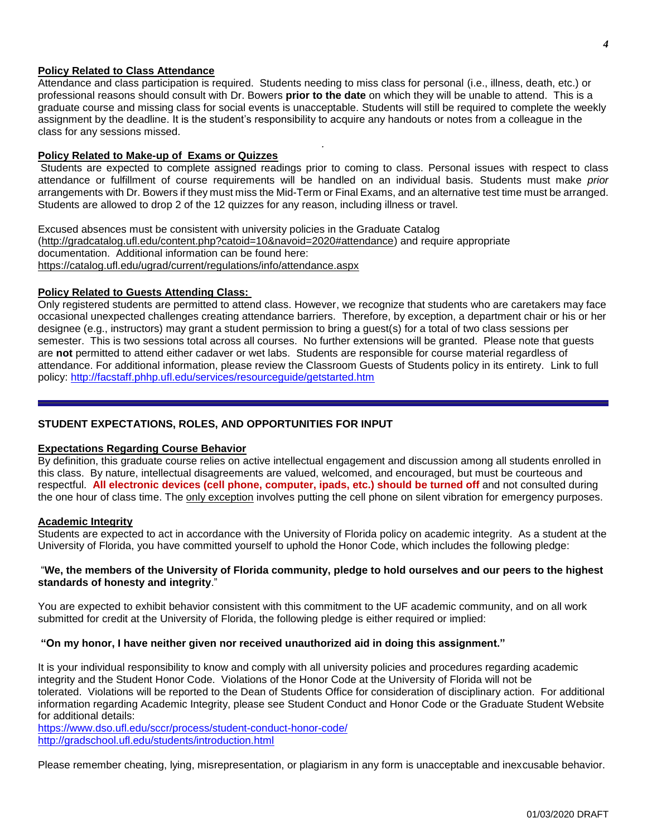#### **Policy Related to Class Attendance**

Attendance and class participation is required. Students needing to miss class for personal (i.e., illness, death, etc.) or professional reasons should consult with Dr. Bowers **prior to the date** on which they will be unable to attend. This is a graduate course and missing class for social events is unacceptable. Students will still be required to complete the weekly assignment by the deadline. It is the student's responsibility to acquire any handouts or notes from a colleague in the class for any sessions missed.

*.*

### **Policy Related to Make-up of Exams or Quizzes**

Students are expected to complete assigned readings prior to coming to class. Personal issues with respect to class attendance or fulfillment of course requirements will be handled on an individual basis. Students must make *prior* arrangements with Dr. Bowers if they must miss the Mid-Term or Final Exams, and an alternative test time must be arranged. Students are allowed to drop 2 of the 12 quizzes for any reason, including illness or travel.

Excused absences must be consistent with university policies in the Graduate Catalog [\(http://gradcatalog.ufl.edu/content.php?catoid=10&navoid=2020#attendance\)](http://gradcatalog.ufl.edu/content.php?catoid=10&navoid=2020#attendance) and require appropriate documentation. Additional information can be found here: <https://catalog.ufl.edu/ugrad/current/regulations/info/attendance.aspx>

## **Policy Related to Guests Attending Class:**

Only registered students are permitted to attend class. However, we recognize that students who are caretakers may face occasional unexpected challenges creating attendance barriers. Therefore, by exception, a department chair or his or her designee (e.g., instructors) may grant a student permission to bring a guest(s) for a total of two class sessions per semester. This is two sessions total across all courses. No further extensions will be granted. Please note that guests are **not** permitted to attend either cadaver or wet labs. Students are responsible for course material regardless of attendance. For additional information, please review the Classroom Guests of Students policy in its entirety. Link to full policy:<http://facstaff.phhp.ufl.edu/services/resourceguide/getstarted.htm>

# **STUDENT EXPECTATIONS, ROLES, AND OPPORTUNITIES FOR INPUT**

#### **Expectations Regarding Course Behavior**

By definition, this graduate course relies on active intellectual engagement and discussion among all students enrolled in this class. By nature, intellectual disagreements are valued, welcomed, and encouraged, but must be courteous and respectful. **All electronic devices (cell phone, computer, ipads, etc.) should be turned off** and not consulted during the one hour of class time. The only exception involves putting the cell phone on silent vibration for emergency purposes.

#### **Academic Integrity**

Students are expected to act in accordance with the University of Florida policy on academic integrity. As a student at the University of Florida, you have committed yourself to uphold the Honor Code, which includes the following pledge:

#### "We, the members of the University of Florida community, pledge to hold ourselves and our peers to the highest **standards of honesty and integrity**."

You are expected to exhibit behavior consistent with this commitment to the UF academic community, and on all work submitted for credit at the University of Florida, the following pledge is either required or implied:

#### **"On my honor, I have neither given nor received unauthorized aid in doing this assignment."**

It is your individual responsibility to know and comply with all university policies and procedures regarding academic integrity and the Student Honor Code. Violations of the Honor Code at the University of Florida will not be tolerated. Violations will be reported to the Dean of Students Office for consideration of disciplinary action. For additional information regarding Academic Integrity, please see Student Conduct and Honor Code or the Graduate Student Website for additional details:

<https://www.dso.ufl.edu/sccr/process/student-conduct-honor-code/> <http://gradschool.ufl.edu/students/introduction.html>

Please remember cheating, lying, misrepresentation, or plagiarism in any form is unacceptable and inexcusable behavior.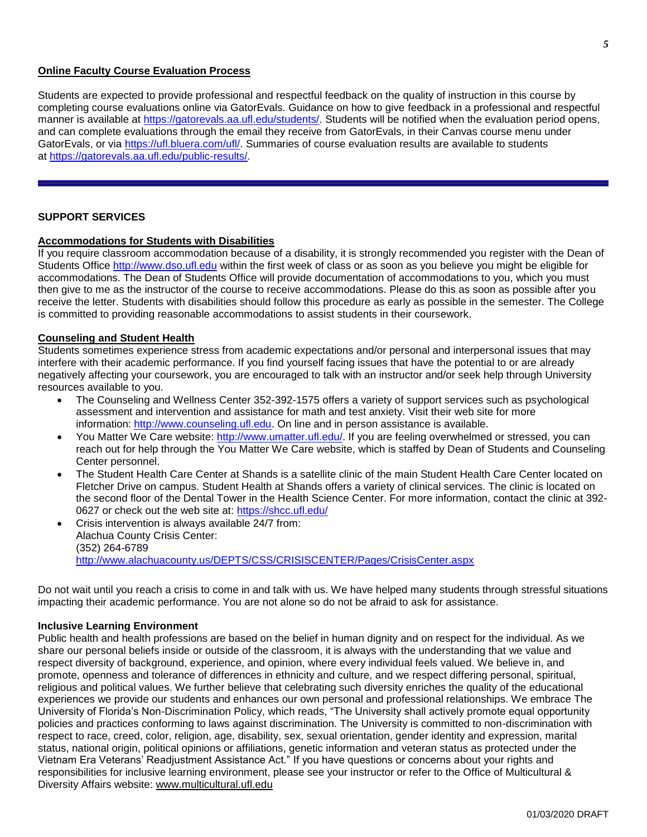#### **Online Faculty Course Evaluation Process**

Students are expected to provide professional and respectful feedback on the quality of instruction in this course by completing course evaluations online via GatorEvals. Guidance on how to give feedback in a professional and respectful manner is available at [https://gatorevals.aa.ufl.edu/students/.](https://gatorevals.aa.ufl.edu/students/) Students will be notified when the evaluation period opens, and can complete evaluations through the email they receive from GatorEvals, in their Canvas course menu under GatorEvals, or via [https://ufl.bluera.com/ufl/.](https://urldefense.proofpoint.com/v2/url?u=https-3A__ufl.bluera.com_ufl_&d=DwMFAg&c=sJ6xIWYx-zLMB3EPkvcnVg&r=y2HjEMjRMHJhfdvLrqJZlYczRsfp5e4TfQjHuc5rVHg&m=WXko6OK_Ha6T00ZVAsEaSh99qRXHOgMNFRywCoehRho&s=itVU46DDJjnIg4CW6efJOOLgPjdzsPvCghyfzJoFONs&e=) Summaries of course evaluation results are available to students at [https://gatorevals.aa.ufl.edu/public-results/.](https://gatorevals.aa.ufl.edu/public-results/)

## **SUPPORT SERVICES**

#### **Accommodations for Students with Disabilities**

If you require classroom accommodation because of a disability, it is strongly recommended you register with the Dean of Students Office [http://www.dso.ufl.edu](http://www.dso.ufl.edu/) within the first week of class or as soon as you believe you might be eligible for accommodations. The Dean of Students Office will provide documentation of accommodations to you, which you must then give to me as the instructor of the course to receive accommodations. Please do this as soon as possible after you receive the letter. Students with disabilities should follow this procedure as early as possible in the semester. The College is committed to providing reasonable accommodations to assist students in their coursework.

#### **Counseling and Student Health**

Students sometimes experience stress from academic expectations and/or personal and interpersonal issues that may interfere with their academic performance. If you find yourself facing issues that have the potential to or are already negatively affecting your coursework, you are encouraged to talk with an instructor and/or seek help through University resources available to you.

- The Counseling and Wellness Center 352-392-1575 offers a variety of support services such as psychological assessment and intervention and assistance for math and test anxiety. Visit their web site for more information: [http://www.counseling.ufl.edu.](http://www.counseling.ufl.edu/) On line and in person assistance is available.
- You Matter We Care website: [http://www.umatter.ufl.edu/.](http://www.umatter.ufl.edu/) If you are feeling overwhelmed or stressed, you can reach out for help through the You Matter We Care website, which is staffed by Dean of Students and Counseling Center personnel.
- The Student Health Care Center at Shands is a satellite clinic of the main Student Health Care Center located on Fletcher Drive on campus. Student Health at Shands offers a variety of clinical services. The clinic is located on the second floor of the Dental Tower in the Health Science Center. For more information, contact the clinic at 392- 0627 or check out the web site at: <https://shcc.ufl.edu/>
- Crisis intervention is always available 24/7 from: Alachua County Crisis Center: (352) 264-6789 <http://www.alachuacounty.us/DEPTS/CSS/CRISISCENTER/Pages/CrisisCenter.aspx>

Do not wait until you reach a crisis to come in and talk with us. We have helped many students through stressful situations impacting their academic performance. You are not alone so do not be afraid to ask for assistance.

#### **Inclusive Learning Environment**

Public health and health professions are based on the belief in human dignity and on respect for the individual. As we share our personal beliefs inside or outside of the classroom, it is always with the understanding that we value and respect diversity of background, experience, and opinion, where every individual feels valued. We believe in, and promote, openness and tolerance of differences in ethnicity and culture, and we respect differing personal, spiritual, religious and political values. We further believe that celebrating such diversity enriches the quality of the educational experiences we provide our students and enhances our own personal and professional relationships. We embrace The University of Florida's Non-Discrimination Policy, which reads, "The University shall actively promote equal opportunity policies and practices conforming to laws against discrimination. The University is committed to non-discrimination with respect to race, creed, color, religion, age, disability, sex, sexual orientation, gender identity and expression, marital status, national origin, political opinions or affiliations, genetic information and veteran status as protected under the Vietnam Era Veterans' Readjustment Assistance Act." If you have questions or concerns about your rights and responsibilities for inclusive learning environment, please see your instructor or refer to the Office of Multicultural & Diversity Affairs website: [www.multicultural.ufl.edu](http://www.multicultural.ufl.edu/)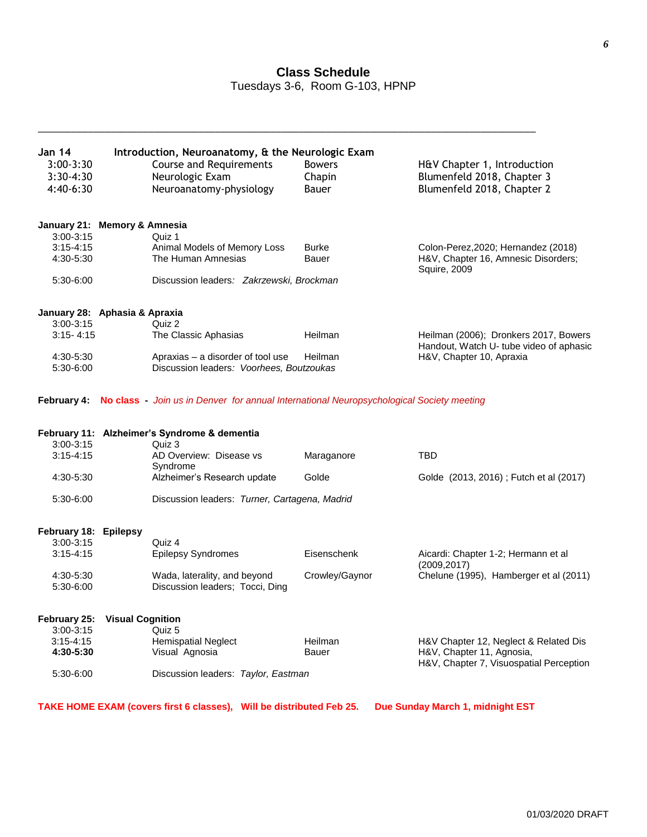# **Class Schedule**

Tuesdays 3-6, Room G-103, HPNP

\_\_\_\_\_\_\_\_\_\_\_\_\_\_\_\_\_\_\_\_\_\_\_\_\_\_\_\_\_\_\_\_\_\_\_\_\_\_\_\_\_\_\_\_\_\_\_\_\_\_\_\_\_\_\_\_\_\_\_\_\_\_\_\_\_\_\_\_\_\_\_\_\_\_\_\_\_\_\_\_\_\_\_\_\_\_\_\_\_\_

| <b>Jan 14</b><br>$3:00-3:30$<br>3:30-4:30<br>4:40-6:30                            | Introduction, Neuroanatomy, & the Neurologic Exam<br><b>Course and Requirements</b><br>Neurologic Exam<br>Neuroanatomy-physiology                                             | <b>Bowers</b><br>Chapin<br>Bauer | H&V Chapter 1, Introduction<br>Blumenfeld 2018, Chapter 3<br>Blumenfeld 2018, Chapter 2                       |
|-----------------------------------------------------------------------------------|-------------------------------------------------------------------------------------------------------------------------------------------------------------------------------|----------------------------------|---------------------------------------------------------------------------------------------------------------|
| $3:00-3:15$<br>$3:15 - 4:15$<br>4:30-5:30<br>5:30-6:00                            | January 21: Memory & Amnesia<br>Quiz 1<br>Animal Models of Memory Loss<br>The Human Amnesias<br>Discussion leaders: Zakrzewski, Brockman                                      | <b>Burke</b><br>Bauer            | Colon-Perez, 2020; Hernandez (2018)<br>H&V, Chapter 16, Amnesic Disorders;<br><b>Squire, 2009</b>             |
| $3:00-3:15$<br>$3:15 - 4:15$<br>4:30-5:30<br>5:30-6:00                            | January 28: Aphasia & Apraxia<br>Quiz 2<br>The Classic Aphasias<br>Apraxias - a disorder of tool use<br>Discussion leaders: Voorhees, Boutzoukas                              | Heilman<br>Heilman               | Heilman (2006); Dronkers 2017, Bowers<br>Handout, Watch U- tube video of aphasic<br>H&V, Chapter 10, Apraxia  |
|                                                                                   | February 4: No class - Join us in Denver for annual International Neuropsychological Society meeting                                                                          |                                  |                                                                                                               |
| $3:00 - 3:15$<br>$3:15 - 4:15$<br>4:30-5:30<br>5:30-6:00                          | February 11: Alzheimer's Syndrome & dementia<br>Quiz 3<br>AD Overview: Disease vs<br>Syndrome<br>Alzheimer's Research update<br>Discussion leaders: Turner, Cartagena, Madrid | Maraganore<br>Golde              | <b>TBD</b><br>Golde (2013, 2016); Futch et al (2017)                                                          |
| February 18: Epilepsy<br>$3:00 - 3:15$<br>$3:15 - 4:15$<br>4:30-5:30<br>5:30-6:00 | Quiz 4<br><b>Epilepsy Syndromes</b><br>Wada, laterality, and beyond<br>Discussion leaders; Tocci, Ding                                                                        | Eisenschenk<br>Crowley/Gaynor    | Aicardi: Chapter 1-2; Hermann et al<br>(2009, 2017)<br>Chelune (1995), Hamberger et al (2011)                 |
| 3:00-3:15<br>$3:15 - 4:15$<br>4:30-5:30<br>5:30-6:00                              | February 25: Visual Cognition<br>Quiz 5<br><b>Hemispatial Neglect</b><br>Visual Agnosia<br>Discussion leaders: Taylor, Eastman                                                | Heilman<br>Bauer                 | H&V Chapter 12, Neglect & Related Dis<br>H&V, Chapter 11, Agnosia,<br>H&V, Chapter 7, Visuospatial Perception |
|                                                                                   | TAKE HOME EXAM (covers first 6 classes), Will be distributed Feb 25.                                                                                                          |                                  | Due Sunday March 1, midnight EST                                                                              |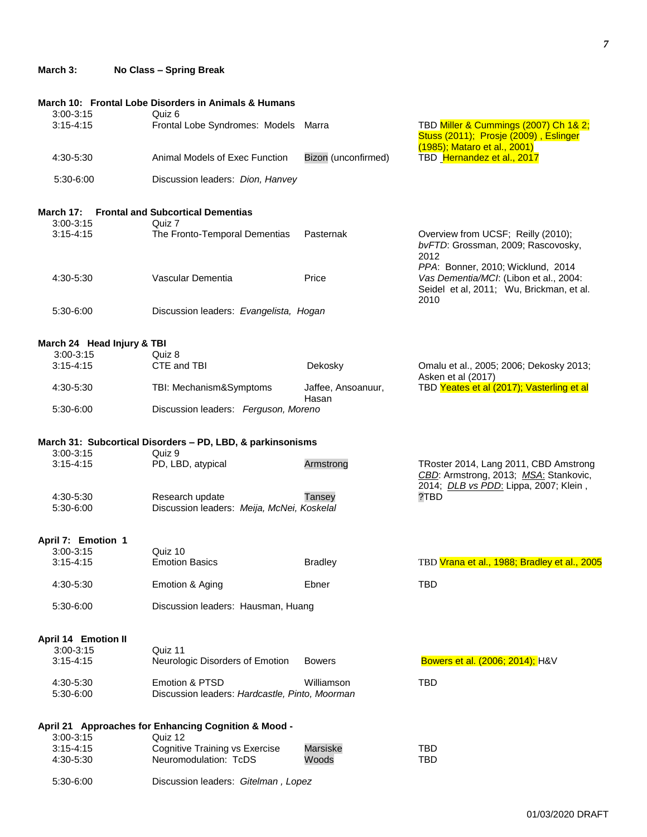## **March 3: No Class – Spring Break**

|                                | March 10: Frontal Lobe Disorders in Animals & Humans                        |                             |                                                                                                                                 |
|--------------------------------|-----------------------------------------------------------------------------|-----------------------------|---------------------------------------------------------------------------------------------------------------------------------|
| $3:00 - 3:15$<br>$3:15 - 4:15$ | Quiz 6<br>Frontal Lobe Syndromes: Models Marra                              |                             | TBD Miller & Cummings (2007) Ch 1& 2;<br>Stuss (2011); Prosje (2009), Eslinger                                                  |
| 4:30-5:30                      | Animal Models of Exec Function                                              | Bizon (unconfirmed)         | (1985); Mataro et al., 2001)<br>TBD Hernandez et al., 2017                                                                      |
| 5:30-6:00                      | Discussion leaders: Dion, Hanvey                                            |                             |                                                                                                                                 |
|                                |                                                                             |                             |                                                                                                                                 |
|                                | <b>March 17: Frontal and Subcortical Dementias</b>                          |                             |                                                                                                                                 |
| $3:00 - 3:15$                  | Quiz 7                                                                      |                             |                                                                                                                                 |
| $3:15 - 4:15$                  | The Fronto-Temporal Dementias                                               | Pasternak                   | Overview from UCSF; Reilly (2010);<br>bvFTD: Grossman, 2009; Rascovosky,<br>2012                                                |
| 4:30-5:30                      | Vascular Dementia                                                           | Price                       | PPA: Bonner, 2010; Wicklund, 2014<br>Vas Dementia/MCI: (Libon et al., 2004:<br>Seidel et al, 2011; Wu, Brickman, et al.<br>2010 |
| 5:30-6:00                      | Discussion leaders: Evangelista, Hogan                                      |                             |                                                                                                                                 |
|                                |                                                                             |                             |                                                                                                                                 |
| March 24 Head Injury & TBI     |                                                                             |                             |                                                                                                                                 |
| $3:00 - 3:15$                  | Quiz 8                                                                      |                             |                                                                                                                                 |
| $3:15 - 4:15$                  | CTE and TBI                                                                 | Dekosky                     | Omalu et al., 2005; 2006; Dekosky 2013;<br>Asken et al (2017)                                                                   |
| 4:30-5:30                      | TBI: Mechanism&Symptoms                                                     | Jaffee, Ansoanuur,<br>Hasan | TBD Yeates et al (2017); Vasterling et al                                                                                       |
| 5:30-6:00                      | Discussion leaders: Ferguson, Moreno                                        |                             |                                                                                                                                 |
| $3:00 - 3:15$                  | March 31: Subcortical Disorders - PD, LBD, & parkinsonisms<br>Quiz 9        |                             |                                                                                                                                 |
| $3:15 - 4:15$                  | PD, LBD, atypical                                                           | Armstrong                   | TRoster 2014, Lang 2011, CBD Amstrong<br>CBD: Armstrong, 2013; MSA: Stankovic,                                                  |
| 4:30-5:30                      | Research update                                                             |                             | 2014; DLB vs PDD: Lippa, 2007; Klein,<br>?TBD                                                                                   |
| 5:30-6:00                      | Discussion leaders: Meija, McNei, Koskelal                                  | Tansey                      |                                                                                                                                 |
|                                |                                                                             |                             |                                                                                                                                 |
| April 7: Emotion 1             |                                                                             |                             |                                                                                                                                 |
| $3:00-3:15$                    | Quiz 10                                                                     |                             |                                                                                                                                 |
| $3:15 - 4:15$                  | <b>Emotion Basics</b>                                                       | <b>Bradley</b>              | TBD Vrana et al., 1988; Bradley et al., 2005                                                                                    |
| 4:30-5:30                      | Emotion & Aging                                                             | Ebner                       | <b>TBD</b>                                                                                                                      |
| 5:30-6:00                      | Discussion leaders: Hausman, Huang                                          |                             |                                                                                                                                 |
| <b>April 14 Emotion II</b>     |                                                                             |                             |                                                                                                                                 |
| $3:00 - 3:15$                  | Quiz 11                                                                     |                             |                                                                                                                                 |
| $3:15 - 4:15$                  | Neurologic Disorders of Emotion                                             | <b>Bowers</b>               | Bowers et al. (2006; 2014); H&V                                                                                                 |
| 4:30-5:30<br>5:30-6:00         | <b>Emotion &amp; PTSD</b><br>Discussion leaders: Hardcastle, Pinto, Moorman | Williamson                  | <b>TBD</b>                                                                                                                      |
|                                |                                                                             |                             |                                                                                                                                 |
| $3:00-3:15$                    | April 21 Approaches for Enhancing Cognition & Mood -                        |                             |                                                                                                                                 |
| $3:15 - 4:15$                  | Quiz 12<br><b>Cognitive Training vs Exercise</b>                            | <b>Marsiske</b>             | <b>TBD</b>                                                                                                                      |
| 4:30-5:30                      | Neuromodulation: TcDS                                                       | Woods                       | <b>TBD</b>                                                                                                                      |
| 5:30-6:00                      | Discussion leaders: Gitelman, Lopez                                         |                             |                                                                                                                                 |